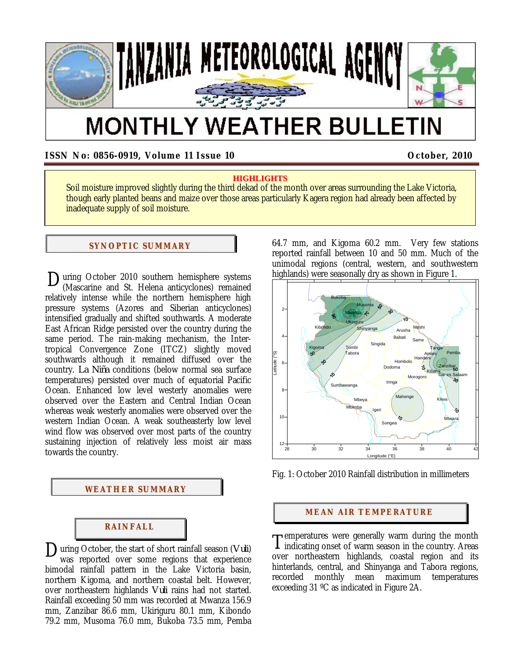

# **MONTHLY WEATHER BULLETIN**

**ISSN No: 0856-0919, Volume 11 Issue 10 COMPUTER 10 COMPUTER 10 COMPUTER 1010** 

## **HIGHLIGHTS**

Soil moisture improved slightly during the third dekad of the month over areas surrounding the Lake Victoria, though early planted beans and maize over those areas particularly Kagera region had already been affected by inadequate supply of soil moisture.

## **SYNOPTIC SUMMARY**

During October 2010 southern hemisphere systems<br>
(Mascarine and St. Helena anticyclones) remained (Mascarine and St. Helena anticyclones) remained relatively intense while the northern hemisphere high pressure systems (Azores and Siberian anticyclones) intensified gradually and shifted southwards. A moderate East African Ridge persisted over the country during the same period. The rain-making mechanism, the Intertropical Convergence Zone (ITCZ) slightly moved southwards although it remained diffused over the country. *La Niña* conditions (below normal sea surface temperatures) persisted over much of equatorial Pacific Ocean. Enhanced low level westerly anomalies were observed over the Eastern and Central Indian Ocean whereas weak westerly anomalies were observed over the western Indian Ocean. A weak southeasterly low level wind flow was observed over most parts of the country sustaining injection of relatively less moist air mass towards the country.

### **WEATHER SUMMARY**

# **RAI NFALL**

uring October, the start of short rainfall season (*Vuli*) was reported over some regions that experience bimodal rainfall pattern in the Lake Victoria basin, northern Kigoma, and northern coastal belt. However, over northeastern highlands *Vuli* rains had not started. Rainfall exceeding 50 mm was recorded at Mwanza 156.9 mm, Zanzibar 86.6 mm, Ukiriguru 80.1 mm, Kibondo 79.2 mm, Musoma 76.0 mm, Bukoba 73.5 mm, Pemba  $\sum_{\text{was} \text{ reported} \text{over, the start of short rainfall season } (Vul)}$   $\prod_{\text{was} \text{ reported} \text{over some regions that experience}$ 

64.7 mm, and Kigoma 60.2 mm. Very few stations reported rainfall between 10 and 50 mm. Much of the unimodal regions (central, western, and southwestern highlands) were seasonally dry as shown in Figure 1.



Fig. 1: October 2010 Rainfall distribution in millimeters

### **MEAN AIR TEMPERATURE**

remperatures were generally warm during the month  $\mathbf 1$  indicating onset of warm season in the country. Areas over northeastern highlands, coastal region and its hinterlands, central, and Shinyanga and Tabora regions, recorded monthly mean maximum temperatures exceeding 31 ºC as indicated in Figure 2A.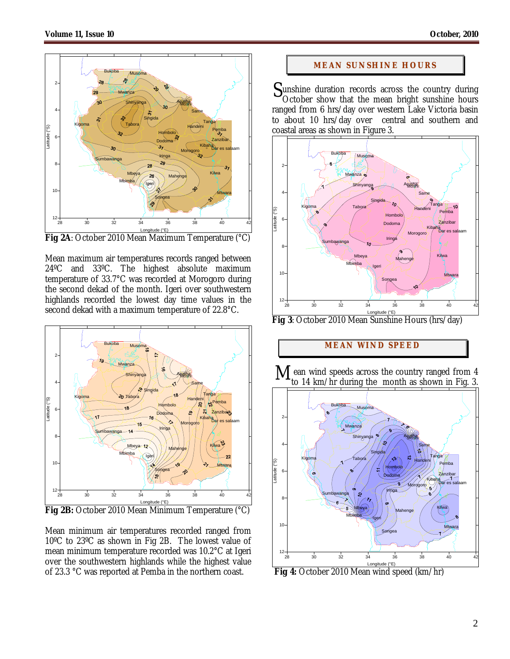

**Fig 2A**: October 2010 Mean Maximum Temperature (°C)

Mean maximum air temperatures records ranged between 24ºC and 33ºC. The highest absolute maximum temperature of 33.7°C was recorded at Morogoro during the second dekad of the month. Igeri over southwestern highlands recorded the lowest day time values in the second dekad with a maximum temperature of 22.8°C.



**Fig 2B:** October 2010 Mean Minimum Temperature (°C)

Mean minimum air temperatures recorded ranged from 10ºC to 23ºC as shown in Fig 2B. The lowest value of mean minimum temperature recorded was 10.2°C at Igeri over the southwestern highlands while the highest value of 23.3 °C was reported at Pemba in the northern coast.

## **MEAN SUNSHINE HOURS**

Sunshine duration records across the country during<br>October show that the mean bright sunshine hours October show that the mean bright sunshine hours ranged from 6 hrs/day over western Lake Victoria basin to about 10 hrs/day over central and southern and coastal areas as shown in Figure 3.



**Fig 3**: October 2010 Mean Sunshine Hours (hrs/day)

# **MEAN WI ND SPEED**

 ean wind speeds across the country ranged from 4 to 14 km/hr during the month as shown in Fig. 3. M



 **Fig 4:** October 2010 Mean wind speed (km/hr)